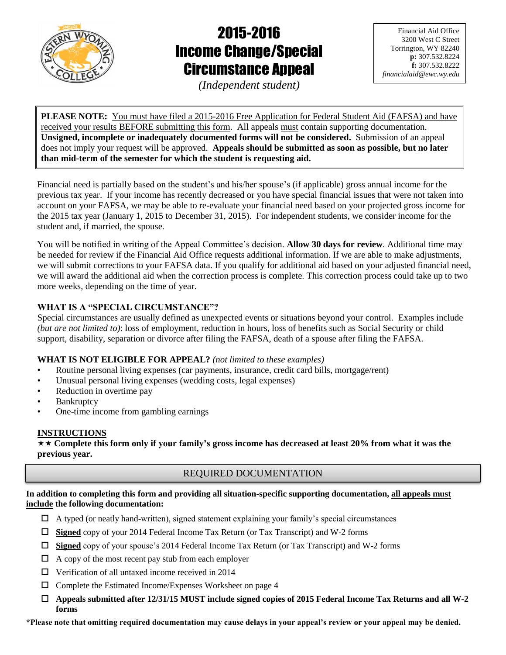

# 2015-2016 Income Change/Special Circumstance Appeal

Financial Aid Office 3200 West C Street Torrington, WY 82240 **p:** 307.532.8224 **f:** 307.532.8222 *financialaid@ewc.wy.edu*

*(Independent student)*

**PLEASE NOTE:** You must have filed a 2015-2016 Free Application for Federal Student Aid (FAFSA) and have received your results BEFORE submitting this form. All appeals must contain supporting documentation. **Unsigned, incomplete or inadequately documented forms will not be considered.** Submission of an appeal does not imply your request will be approved. **Appeals should be submitted as soon as possible, but no later than mid-term of the semester for which the student is requesting aid.**

Financial need is partially based on the student's and his/her spouse's (if applicable) gross annual income for the previous tax year. If your income has recently decreased or you have special financial issues that were not taken into account on your FAFSA, we may be able to re-evaluate your financial need based on your projected gross income for the 2015 tax year (January 1, 2015 to December 31, 2015). For independent students, we consider income for the student and, if married, the spouse.

You will be notified in writing of the Appeal Committee's decision. **Allow 30 days for review**. Additional time may be needed for review if the Financial Aid Office requests additional information. If we are able to make adjustments, we will submit corrections to your FAFSA data. If you qualify for additional aid based on your adjusted financial need, we will award the additional aid when the correction process is complete. This correction process could take up to two more weeks, depending on the time of year.

# **WHAT IS A "SPECIAL CIRCUMSTANCE"?**

Special circumstances are usually defined as unexpected events or situations beyond your control. Examples include *(but are not limited to)*: loss of employment, reduction in hours, loss of benefits such as Social Security or child support, disability, separation or divorce after filing the FAFSA, death of a spouse after filing the FAFSA.

# **WHAT IS NOT ELIGIBLE FOR APPEAL?** *(not limited to these examples)*

- Routine personal living expenses (car payments, insurance, credit card bills, mortgage/rent)
- Unusual personal living expenses (wedding costs, legal expenses)
- Reduction in overtime pay
- **Bankruptcy**
- One-time income from gambling earnings

# **INSTRUCTIONS**

 **Complete this form only if your family's gross income has decreased at least 20% from what it was the previous year.**

# REQUIRED DOCUMENTATION

**In addition to completing this form and providing all situation-specific supporting documentation, all appeals must include the following documentation:**

- $\Box$  A typed (or neatly hand-written), signed statement explaining your family's special circumstances
- **Signed** copy of your 2014 Federal Income Tax Return (or Tax Transcript) and W-2 forms
- **Signed** copy of your spouse's 2014 Federal Income Tax Return (or Tax Transcript) and W-2 forms
- $\Box$  A copy of the most recent pay stub from each employer
- $\Box$  Verification of all untaxed income received in 2014
- Complete the Estimated Income/Expenses Worksheet on page 4
- **Appeals submitted after 12/31/15 MUST include signed copies of 2015 Federal Income Tax Returns and all W-2 forms**

**\*Please note that omitting required documentation may cause delays in your appeal's review or your appeal may be denied.**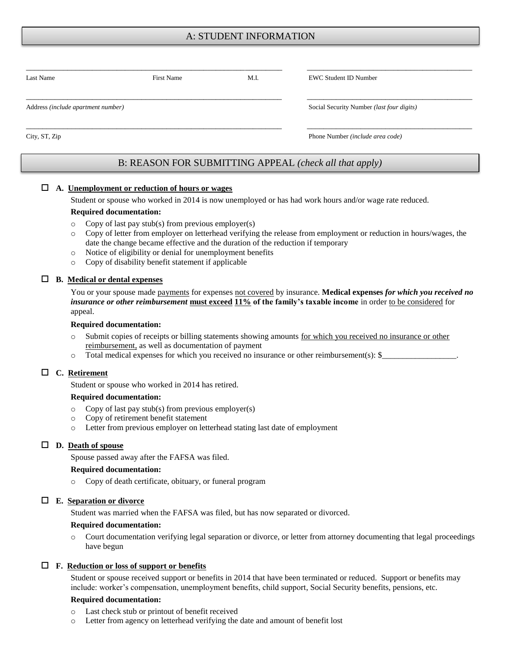# A: STUDENT INFORMATION

| Last Name                          | First Name | M.I.                             | <b>EWC Student ID Number</b>              |  |  |
|------------------------------------|------------|----------------------------------|-------------------------------------------|--|--|
| Address (include apartment number) |            |                                  | Social Security Number (last four digits) |  |  |
| City, ST, Zip                      |            | Phone Number (include area code) |                                           |  |  |

# B: REASON FOR SUBMITTING APPEAL *(check all that apply)*

#### **A. Unemployment or reduction of hours or wages**

Student or spouse who worked in 2014 is now unemployed or has had work hours and/or wage rate reduced.

#### **Required documentation:**

- $\circ$  Copy of last pay stub(s) from previous employer(s)
- o Copy of letter from employer on letterhead verifying the release from employment or reduction in hours/wages, the date the change became effective and the duration of the reduction if temporary
- o Notice of eligibility or denial for unemployment benefits
- o Copy of disability benefit statement if applicable

#### **B. Medical or dental expenses**

You or your spouse made payments for expenses not covered by insurance. **Medical expenses** *for which you received no insurance or other reimbursement* **must exceed 11% of the family's taxable income** in order to be considered for appeal.

#### **Required documentation:**

- o Submit copies of receipts or billing statements showing amounts for which you received no insurance or other reimbursement, as well as documentation of payment
- $\circ$  Total medical expenses for which you received no insurance or other reimbursement(s):  $\mathcal{S}_-$

#### **C. Retirement**

Student or spouse who worked in 2014 has retired.

#### **Required documentation:**

- o Copy of last pay stub(s) from previous employer(s)
- o Copy of retirement benefit statement
- o Letter from previous employer on letterhead stating last date of employment

#### **D. Death of spouse**

Spouse passed away after the FAFSA was filed.

#### **Required documentation:**

o Copy of death certificate, obituary, or funeral program

#### **E. Separation or divorce**

Student was married when the FAFSA was filed, but has now separated or divorced.

#### **Required documentation:**

o Court documentation verifying legal separation or divorce, or letter from attorney documenting that legal proceedings have begun

#### **F. Reduction or loss of support or benefits**

Student or spouse received support or benefits in 2014 that have been terminated or reduced. Support or benefits may include: worker's compensation, unemployment benefits, child support, Social Security benefits, pensions, etc.

#### **Required documentation:**

- o Last check stub or printout of benefit received
- o Letter from agency on letterhead verifying the date and amount of benefit lost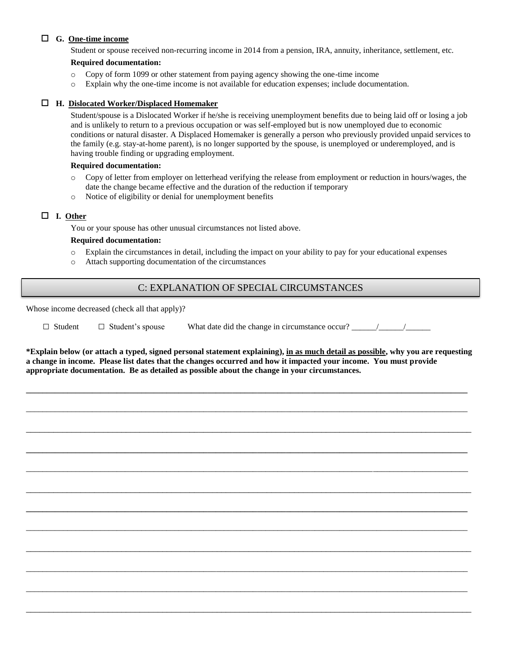### **G. One-time income**

Student or spouse received non-recurring income in 2014 from a pension, IRA, annuity, inheritance, settlement, etc.

### **Required documentation:**

- o Copy of form 1099 or other statement from paying agency showing the one-time income
- o Explain why the one-time income is not available for education expenses; include documentation.

#### **H. Dislocated Worker/Displaced Homemaker**

Student/spouse is a Dislocated Worker if he/she is receiving unemployment benefits due to being laid off or losing a job and is unlikely to return to a previous occupation or was self-employed but is now unemployed due to economic conditions or natural disaster. A Displaced Homemaker is generally a person who previously provided unpaid services to the family (e.g. stay-at-home parent), is no longer supported by the spouse, is unemployed or underemployed, and is having trouble finding or upgrading employment.

#### **Required documentation:**

- o Copy of letter from employer on letterhead verifying the release from employment or reduction in hours/wages, the date the change became effective and the duration of the reduction if temporary
- o Notice of eligibility or denial for unemployment benefits

### **I. Other**

You or your spouse has other unusual circumstances not listed above.

### **Required documentation:**

- o Explain the circumstances in detail, including the impact on your ability to pay for your educational expenses
- o Attach supporting documentation of the circumstances

### C: EXPLANATION OF SPECIAL CIRCUMSTANCES

Whose income decreased (check all that apply)?

| $\Box$ Student $\Box$ Student's spouse | What date did the change in circumstance occur? |  |
|----------------------------------------|-------------------------------------------------|--|
|                                        |                                                 |  |

**\*Explain below (or attach a typed, signed personal statement explaining), in as much detail as possible, why you are requesting a change in income. Please list dates that the changes occurred and how it impacted your income. You must provide appropriate documentation. Be as detailed as possible about the change in your circumstances.**

**\_\_\_\_\_\_\_\_\_\_\_\_\_\_\_\_\_\_\_\_\_\_\_\_\_\_\_\_\_\_\_\_\_\_\_\_\_\_\_\_\_\_\_\_\_\_\_\_\_\_\_\_\_\_\_\_\_\_\_\_\_\_\_\_\_\_\_\_\_\_\_\_\_\_\_\_\_\_\_\_\_\_\_\_\_\_\_\_\_\_\_\_\_\_\_\_\_\_\_\_\_\_\_\_\_\_\_**

\_\_\_\_\_\_\_\_\_\_\_\_\_\_\_\_\_\_\_\_\_\_\_\_\_\_\_\_\_\_\_\_\_\_\_\_\_\_\_\_\_\_\_\_\_\_\_\_\_\_\_\_\_\_\_\_\_\_\_\_\_\_\_\_\_\_\_\_\_\_\_\_\_\_\_\_\_\_\_\_\_\_\_\_\_\_\_\_\_\_\_\_\_\_\_\_\_\_\_\_\_\_\_\_\_\_\_

\_\_\_\_\_\_\_\_\_\_\_\_\_\_\_\_\_\_\_\_\_\_\_\_\_\_\_\_\_\_\_\_\_\_\_\_\_\_\_\_\_\_\_\_\_\_\_\_\_\_\_\_\_\_\_\_\_\_\_\_\_\_\_\_\_\_\_\_\_\_\_\_\_\_\_\_\_\_\_\_\_\_\_\_\_\_\_\_\_\_\_\_\_\_\_\_\_\_

**\_\_\_\_\_\_\_\_\_\_\_\_\_\_\_\_\_\_\_\_\_\_\_\_\_\_\_\_\_\_\_\_\_\_\_\_\_\_\_\_\_\_\_\_\_\_\_\_\_\_\_\_\_\_\_\_\_\_\_\_\_\_\_\_\_\_\_\_\_\_\_\_\_\_\_\_\_\_\_\_\_\_\_\_\_\_\_\_\_\_\_\_\_\_\_\_\_\_\_\_\_\_\_\_\_\_\_**

\_\_\_\_\_\_\_\_\_\_\_\_\_\_\_\_\_\_\_\_\_\_\_\_\_\_\_\_\_\_\_\_\_\_\_\_\_\_\_\_\_\_\_\_\_\_\_\_\_\_\_\_\_\_\_\_\_\_\_\_\_\_\_\_\_\_\_\_\_\_\_\_\_\_\_\_\_\_\_\_\_\_\_\_\_\_\_\_\_\_\_\_\_\_\_\_\_\_\_\_\_\_\_\_\_\_\_

\_\_\_\_\_\_\_\_\_\_\_\_\_\_\_\_\_\_\_\_\_\_\_\_\_\_\_\_\_\_\_\_\_\_\_\_\_\_\_\_\_\_\_\_\_\_\_\_\_\_\_\_\_\_\_\_\_\_\_\_\_\_\_\_\_\_\_\_\_\_\_\_\_\_\_\_\_\_\_\_\_\_\_\_\_\_\_\_\_\_\_\_\_\_\_\_\_\_

**\_\_\_\_\_\_\_\_\_\_\_\_\_\_\_\_\_\_\_\_\_\_\_\_\_\_\_\_\_\_\_\_\_\_\_\_\_\_\_\_\_\_\_\_\_\_\_\_\_\_\_\_\_\_\_\_\_\_\_\_\_\_\_\_\_\_\_\_\_\_\_\_\_\_\_\_\_\_\_\_\_\_\_\_\_\_\_\_\_\_\_\_\_\_\_\_\_\_\_\_\_\_\_\_\_\_\_**

\_\_\_\_\_\_\_\_\_\_\_\_\_\_\_\_\_\_\_\_\_\_\_\_\_\_\_\_\_\_\_\_\_\_\_\_\_\_\_\_\_\_\_\_\_\_\_\_\_\_\_\_\_\_\_\_\_\_\_\_\_\_\_\_\_\_\_\_\_\_\_\_\_\_\_\_\_\_\_\_\_\_\_\_\_\_\_\_\_\_\_\_\_\_\_\_\_\_\_\_\_\_\_\_\_\_\_

\_\_\_\_\_\_\_\_\_\_\_\_\_\_\_\_\_\_\_\_\_\_\_\_\_\_\_\_\_\_\_\_\_\_\_\_\_\_\_\_\_\_\_\_\_\_\_\_\_\_\_\_\_\_\_\_\_\_\_\_\_\_\_\_\_\_\_\_\_\_\_\_\_\_\_\_\_\_\_\_\_\_\_\_\_\_\_\_\_\_\_\_\_\_\_\_\_\_

\_\_\_\_\_\_\_\_\_\_\_\_\_\_\_\_\_\_\_\_\_\_\_\_\_\_\_\_\_\_\_\_\_\_\_\_\_\_\_\_\_\_\_\_\_\_\_\_\_\_\_\_\_\_\_\_\_\_\_\_\_\_\_\_\_\_\_\_\_\_\_\_\_\_\_\_\_\_\_\_\_\_\_\_\_\_\_\_\_\_\_\_\_\_\_\_\_\_\_\_\_\_\_\_\_\_\_

\_\_\_\_\_\_\_\_\_\_\_\_\_\_\_\_\_\_\_\_\_\_\_\_\_\_\_\_\_\_\_\_\_\_\_\_\_\_\_\_\_\_\_\_\_\_\_\_\_\_\_\_\_\_\_\_\_\_\_\_\_\_\_\_\_\_\_\_\_\_\_\_\_\_\_\_\_\_\_\_\_\_\_\_\_\_\_\_\_\_\_\_\_\_\_\_\_\_\_\_\_\_\_\_\_\_\_

\_\_\_\_\_\_\_\_\_\_\_\_\_\_\_\_\_\_\_\_\_\_\_\_\_\_\_\_\_\_\_\_\_\_\_\_\_\_\_\_\_\_\_\_\_\_\_\_\_\_\_\_\_\_\_\_\_\_\_\_\_\_\_\_\_\_\_\_\_\_\_\_\_\_\_\_\_\_\_\_\_\_\_\_\_\_\_\_\_\_\_\_\_\_\_\_\_\_